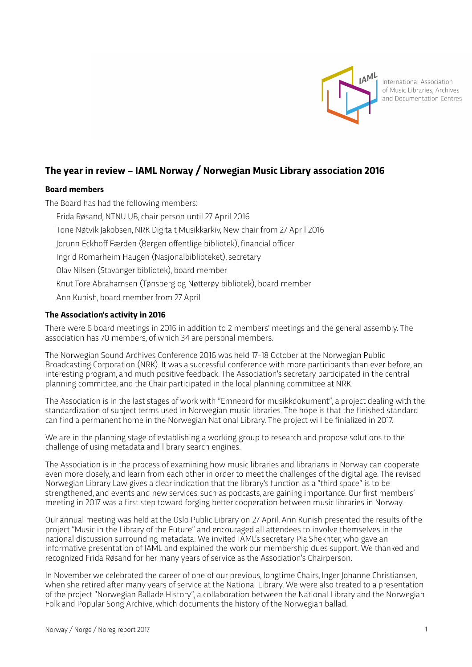

International Association of Music Libraries, Archives and Documentation Centres

# **The year in review – IAML Norway / Norwegian Music Library association 2016**

### **Board members**

The Board has had the following members: Frida Røsand, NTNU UB, chair person until 27 April 2016 Tone Nøtvik Jakobsen, NRK Digitalt Musikkarkiv, New chair from 27 April 2016 Jorunn Eckhoff Færden (Bergen offentlige bibliotek), financial officer Ingrid Romarheim Haugen (Nasjonalbiblioteket), secretary Olav Nilsen (Stavanger bibliotek), board member Knut Tore Abrahamsen (Tønsberg og Nøterøy bibliotek), board member Ann Kunish, board member from 27 April

### **The Association's activity in 2016**

There were 6 board meetings in 2016 in addition to 2 members' meetings and the general assembly. The association has 70 members, of which 34 are personal members.

The Norwegian Sound Archives Conference 2016 was held 17-18 October at the Norwegian Public Broadcasting Corporation (NRK). It was a successful conference with more participants than ever before, an interesting program, and much positive feedback. The Association's secretary participated in the central planning commitee, and the Chair participated in the local planning commitee at NRK.

The Association is in the last stages of work with "Emneord for musikkdokument", a project dealing with the standardization of subject terms used in Norwegian music libraries. The hope is that the finished standard can find a permanent home in the Norwegian National Library. The project will be finialized in 2017.

We are in the planning stage of establishing a working group to research and propose solutions to the challenge of using metadata and library search engines.

The Association is in the process of examining how music libraries and librarians in Norway can cooperate even more closely, and learn from each other in order to meet the challenges of the digital age. The revised Norwegian Library Law gives a clear indication that the library's function as a "third space" is to be strengthened, and events and new services, such as podcasts, are gaining importance. Our first members' meeting in 2017 was a first step toward forging beter cooperation between music libraries in Norway.

Our annual meeting was held at the Oslo Public Library on 27 April. Ann Kunish presented the results of the project "Music in the Library of the Future" and encouraged all atendees to involve themselves in the national discussion surrounding metadata. We invited IAML's secretary Pia Shekhter, who gave an informative presentation of IAML and explained the work our membership dues support. We thanked and recognized Frida Røsand for her many years of service as the Association's Chairperson.

In November we celebrated the career of one of our previous, longtime Chairs, Inger Johanne Christiansen, when she retired after many years of service at the National Library. We were also treated to a presentation of the project "Norwegian Ballade History", a collaboration between the National Library and the Norwegian Folk and Popular Song Archive, which documents the history of the Norwegian ballad.